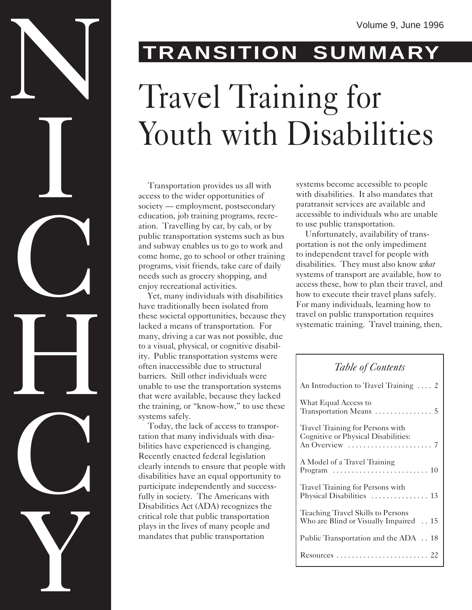# Volume 9, June 1996 Travel Training for Youth with Disabilities

Transportation provides us all with access to the wider opportunities of society — employment, postsecondary education, job training programs, recreation. Travelling by car, by cab, or by public transportation systems such as bus and subway enables us to go to work and come home, go to school or other training programs, visit friends, take care of daily needs such as grocery shopping, and enjoy recreational activities.

Yet, many individuals with disabilities have traditionally been isolated from these societal opportunities, because they lacked a means of transportation. For many, driving a car was not possible, due to a visual, physical, or cognitive disability. Public transportation systems were often inaccessible due to structural barriers. Still other individuals were unable to use the transportation systems that were available, because they lacked the training, or "know-how," to use these systems safely.

Today, the lack of access to transportation that many individuals with disabilities have experienced is changing. Recently enacted federal legislation clearly intends to ensure that people with disabilities have an equal opportunity to participate independently and successfully in society. The Americans with Disabilities Act (ADA) recognizes the critical role that public transportation plays in the lives of many people and mandates that public transportation

systems become accessible to people with disabilities. It also mandates that paratransit services are available and accessible to individuals who are unable to use public transportation.

Unfortunately, availability of transportation is not the only impediment to independent travel for people with disabilities. They must also know *what* systems of transport are available, how to access these, how to plan their travel, and how to execute their travel plans safely. For many individuals, learning how to travel on public transportation requires systematic training. Travel training, then,

### *Table of Contents*

| An Introduction to Travel Training  2                                       |
|-----------------------------------------------------------------------------|
| What Equal Access to                                                        |
| Travel Training for Persons with<br>Cognitive or Physical Disabilities:     |
| A Model of a Travel Training                                                |
| Travel Training for Persons with<br>Physical Disabilities  13               |
| Teaching Travel Skills to Persons<br>Who are Blind or Visually Impaired  15 |
| Public Transportation and the ADA  18                                       |
|                                                                             |

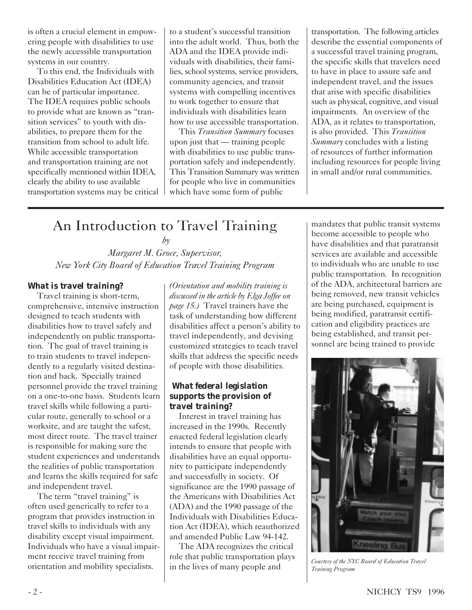is often a crucial element in empowering people with disabilities to use the newly accessible transportation systems in our country.

To this end, the Individuals with Disabilities Education Act (IDEA) can be of particular importance. The IDEA requires public schools to provide what are known as "transition services" to youth with disabilities, to prepare them for the transition from school to adult life. While accessible transportation and transportation training are not specifically mentioned within IDEA, clearly the ability to use available transportation systems may be critical to a student's successful transition into the adult world. Thus, both the ADA and the IDEA provide individuals with disabilities, their families, school systems, service providers, community agencies, and transit systems with compelling incentives to work together to ensure that individuals with disabilities learn how to use accessible transportation.

This *Transition Summary* focuses upon just that — training people with disabilities to use public transportation safely and independently. This Transition Summary was written for people who live in communities which have some form of public

transportation. The following articles describe the essential components of a successful travel training program, the specific skills that travelers need to have in place to assure safe and independent travel, and the issues that arise with specific disabilities such as physical, cognitive, and visual impairments. An overview of the ADA, as it relates to transportation, is also provided. This *Transition Summary* concludes with a listing of resources of further information including resources for people living in small and/or rural communities.

## An Introduction to Travel Training

 *by*

*Margaret M. Groce, Supervisor, New York City Board of Education Travel Training Program*

### *What is travel training?*

Travel training is short-term, comprehensive, intensive instruction designed to teach students with disabilities how to travel safely and independently on public transportation. The goal of travel training is to train students to travel independently to a regularly visited destination and back. Specially trained personnel provide the travel training on a one-to-one basis. Students learn travel skills while following a particular route, generally to school or a worksite, and are taught the safest, most direct route. The travel trainer is responsible for making sure the student experiences and understands the realities of public transportation and learns the skills required for safe and independent travel.

The term "travel training" is often used generically to refer to a program that provides instruction in travel skills to individuals with any disability except visual impairment. Individuals who have a visual impairment receive travel training from orientation and mobility specialists.

*(Orientation and mobility training is discussed in the article by Elga Joffee on page 15.)* Travel trainers have the task of understanding how different disabilities affect a person's ability to travel independently, and devising customized strategies to teach travel skills that address the specific needs of people with those disabilities.

### *What federal legislation supports the provision of travel training?*

Interest in travel training has increased in the 1990s. Recently enacted federal legislation clearly intends to ensure that people with disabilities have an equal opportunity to participate independently and successfully in society. Of significance are the 1990 passage of the Americans with Disabilities Act (ADA) and the 1990 passage of the Individuals with Disabilities Education Act (IDEA), which reauthorized and amended Public Law 94-142.

The ADA recognizes the critical role that public transportation plays in the lives of many people and

mandates that public transit systems become accessible to people who have disabilities and that paratransit services are available and accessible to individuals who are unable to use public transportation. In recognition of the ADA, architectural barriers are being removed, new transit vehicles are being purchased, equipment is being modified, paratransit certification and eligibility practices are being established, and transit personnel are being trained to provide



*Courtesy of the NYC Board of Education Travel Training Program*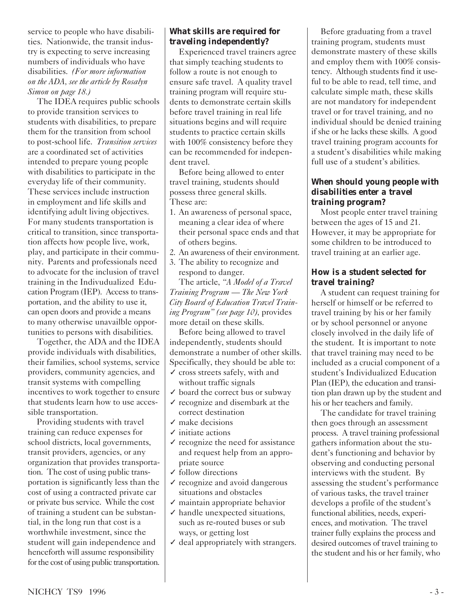service to people who have disabilities. Nationwide, the transit industry is expecting to serve increasing numbers of individuals who have disabilities. *(For more information on the ADA, see the article by Rosalyn Simon on page 18.)*

The IDEA requires public schools to provide transition services to students with disabilities, to prepare them for the transition from school to post-school life. *Transition services* are a coordinated set of activities intended to prepare young people with disabilities to participate in the everyday life of their community. These services include instruction in employment and life skills and identifying adult living objectives. For many students transportation is critical to transition, since transportation affects how people live, work, play, and participate in their community. Parents and professionals need to advocate for the inclusion of travel training in the Indivudualized Education Program (IEP). Access to transportation, and the ability to use it, can open doors and provide a means to many otherwise unavailble opportunities to persons with disabilities.

Together, the ADA and the IDEA provide individuals with disabilities, their families, school systems, service providers, community agencies, and transit systems with compelling incentives to work together to ensure that students learn how to use accessible transportation.

Providing students with travel training can reduce expenses for school districts, local governments, transit providers, agencies, or any organization that provides transportation. The cost of using public transportation is significantly less than the cost of using a contracted private car or private bus service. While the cost of training a student can be substantial, in the long run that cost is a worthwhile investment, since the student will gain independence and henceforth will assume responsibility for the cost of using public transportation.

### *What skills are required for traveling independently?*

Experienced travel trainers agree that simply teaching students to follow a route is not enough to ensure safe travel. A quality travel training program will require students to demonstrate certain skills before travel training in real life situations begins and will require students to practice certain skills with 100% consistency before they can be recommended for independent travel.

Before being allowed to enter travel training, students should possess three general skills. These are:

- 1. An awareness of personal space, meaning a clear idea of where their personal space ends and that of others begins.
- 2. An awareness of their environment.
- 3. The ability to recognize and respond to danger.

The article, *"A Model of a Travel Training Program — The New York City Board of Education Travel Training Program" (see page 10),* provides more detail on these skills.

Before being allowed to travel independently, students should demonstrate a number of other skills. Specifically, they should be able to:

- ✓ cross streets safely, with and without traffic signals
- $\checkmark$  board the correct bus or subway
- $\checkmark$  recognize and disembark at the correct destination
- $\sqrt{\phantom{a}}$  make decisions
- ✓ initiate actions
- $\checkmark$  recognize the need for assistance and request help from an appropriate source
- ✓ follow directions
- ✓ recognize and avoid dangerous situations and obstacles
- ✓ maintain appropriate behavior  $\checkmark$  handle unexpected situations,
- such as re-routed buses or sub ways, or getting lost
- ✓ deal appropriately with strangers.

Before graduating from a travel training program, students must demonstrate mastery of these skills and employ them with 100% consistency. Although students find it useful to be able to read, tell time, and calculate simple math, these skills are not mandatory for independent travel or for travel training, and no individual should be denied training if she or he lacks these skills. A good travel training program accounts for a student's disabilities while making full use of a student's abilities.

### *When should young people with disabilities enter a travel training program?*

Most people enter travel training between the ages of 15 and 21. However, it may be appropriate for some children to be introduced to travel training at an earlier age.

### *How is a student selected for travel training?*

A student can request training for herself or himself or be referred to travel training by his or her family or by school personnel or anyone closely involved in the daily life of the student. It is important to note that travel training may need to be included as a crucial component of a student's Individualized Education Plan (IEP), the education and transition plan drawn up by the student and his or her teachers and family.

The candidate for travel training then goes through an assessment process. A travel training professional gathers information about the student's functioning and behavior by observing and conducting personal interviews with the student. By assessing the student's performance of various tasks, the travel trainer develops a profile of the student's functional abilities, needs, experiences, and motivation. The travel trainer fully explains the process and desired outcomes of travel training to the student and his or her family, who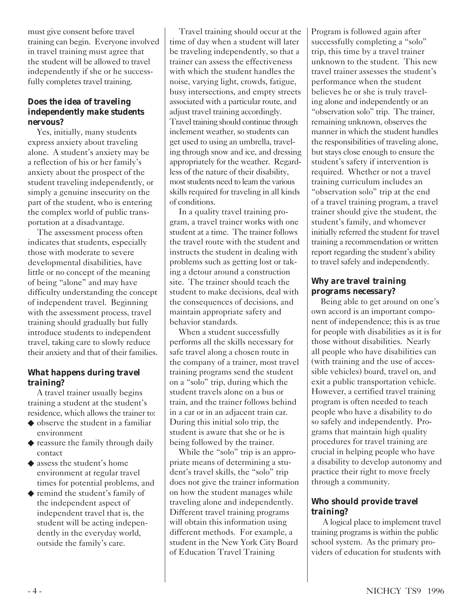must give consent before travel training can begin. Everyone involved in travel training must agree that the student will be allowed to travel independently if she or he successfully completes travel training.

### *Does the idea of traveling independently make students nervous?*

Yes, initially, many students express anxiety about traveling alone. A student's anxiety may be a reflection of his or her family's anxiety about the prospect of the student traveling independently, or simply a genuine insecurity on the part of the student, who is entering the complex world of public transportation at a disadvantage.

The assessment process often indicates that students, especially those with moderate to severe developmental disabilities, have little or no concept of the meaning of being "alone" and may have difficulty understanding the concept of independent travel. Beginning with the assessment process, travel training should gradually but fully introduce students to independent travel, taking care to slowly reduce their anxiety and that of their families.

### *What happens during travel training?*

A travel trainer usually begins training a student at the student's residence, which allows the trainer to:

- ◆ observe the student in a familiar environment
- ◆ reassure the family through daily contact
- ◆ assess the student's home environment at regular travel times for potential problems, and
- ◆ remind the student's family of the independent aspect of independent travel that is, the student will be acting independently in the everyday world, outside the family's care.

Travel training should occur at the time of day when a student will later be traveling independently, so that a trainer can assess the effectiveness with which the student handles the noise, varying light, crowds, fatigue, busy intersections, and empty streets associated with a particular route, and adjust travel training accordingly. Travel training should continue through inclement weather, so students can get used to using an umbrella, traveling through snow and ice, and dressing appropriately for the weather. Regardless of the nature of their disability, most students need to learn the various skills required for traveling in all kinds of conditions.

In a quality travel training program, a travel trainer works with one student at a time. The trainer follows the travel route with the student and instructs the student in dealing with problems such as getting lost or taking a detour around a construction site. The trainer should teach the student to make decisions, deal with the consequences of decisions, and maintain appropriate safety and behavior standards.

When a student successfully performs all the skills necessary for safe travel along a chosen route in the company of a trainer, most travel training programs send the student on a "solo" trip, during which the student travels alone on a bus or train, and the trainer follows behind in a car or in an adjacent train car. During this initial solo trip, the student is aware that she or he is being followed by the trainer.

While the "solo" trip is an appropriate means of determining a student's travel skills, the "solo" trip does not give the trainer information on how the student manages while traveling alone and independently. Different travel training programs will obtain this information using different methods. For example, a student in the New York City Board of Education Travel Training

Program is followed again after successfully completing a "solo" trip, this time by a travel trainer unknown to the student. This new travel trainer assesses the student's performance when the student believes he or she is truly traveling alone and independently or an "observation solo" trip. The trainer, remaining unknown, observes the manner in which the student handles the responsibilities of traveling alone, but stays close enough to ensure the student's safety if intervention is required. Whether or not a travel training curriculum includes an "observation solo" trip at the end of a travel training program, a travel trainer should give the student, the student's family, and whomever initially referred the student for travel training a recommendation or written report regarding the student's ability to travel safely and independently.

### *Why are travel training programs necessary?*

Being able to get around on one's own accord is an important component of independence; this is as true for people with disabilities as it is for those without disabilities. Nearly all people who have disabilities can (with training and the use of accessible vehicles) board, travel on, and exit a public transportation vehicle. However, a certified travel training program is often needed to teach people who have a disability to do so safely and independently. Programs that maintain high quality procedures for travel training are crucial in helping people who have a disability to develop autonomy and practice their right to move freely through a community.

### *Who should provide travel training?*

 A logical place to implement travel training programs is within the public school system. As the primary providers of education for students with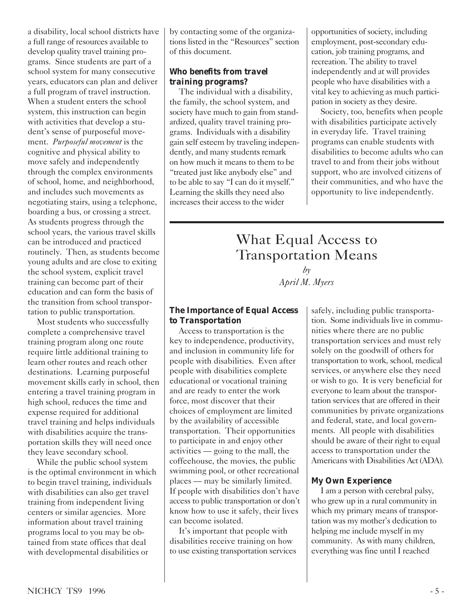a disability, local school districts have a full range of resources available to develop quality travel training programs. Since students are part of a school system for many consecutive years, educators can plan and deliver a full program of travel instruction. When a student enters the school system, this instruction can begin with activities that develop a student's sense of purposeful movement. *Purposeful movement* is the cognitive and physical ability to move safely and independently through the complex environments of school, home, and neighborhood, and includes such movements as negotiating stairs, using a telephone, boarding a bus, or crossing a street. As students progress through the school years, the various travel skills can be introduced and practiced routinely. Then, as students become young adults and are close to exiting the school system, explicit travel training can become part of their education and can form the basis of the transition from school transportation to public transportation.

Most students who successfully complete a comprehensive travel training program along one route require little additional training to learn other routes and reach other destinations. Learning purposeful movement skills early in school, then entering a travel training program in high school, reduces the time and expense required for additional travel training and helps individuals with disabilities acquire the transportation skills they will need once they leave secondary school.

While the public school system is the optimal environment in which to begin travel training, individuals with disabilities can also get travel training from independent living centers or similar agencies. More information about travel training programs local to you may be obtained from state offices that deal with developmental disabilities or

by contacting some of the organizations listed in the "Resources" section of this document.

### *Who benefits from travel training programs?*

The individual with a disability, the family, the school system, and society have much to gain from standardized, quality travel training programs. Individuals with a disability gain self esteem by traveling independently, and many students remark on how much it means to them to be "treated just like anybody else" and to be able to say "I can do it myself." Learning the skills they need also increases their access to the wider

opportunities of society, including employment, post-secondary education, job training programs, and recreation. The ability to travel independently and at will provides people who have disabilities with a vital key to achieving as much participation in society as they desire.

Society, too, benefits when people with disabilities participate actively in everyday life. Travel training programs can enable students with disabilities to become adults who can travel to and from their jobs without support, who are involved citizens of their communities, and who have the opportunity to live independently.

### What Equal Access to Transportation Means *by*

### *April M. Myers*

### *The Importance of Equal Access to Transportation*

Access to transportation is the key to independence, productivity, and inclusion in community life for people with disabilities. Even after people with disabilities complete educational or vocational training and are ready to enter the work force, most discover that their choices of employment are limited by the availability of accessible transportation. Their opportunities to participate in and enjoy other activities — going to the mall, the coffeehouse, the movies, the public swimming pool, or other recreational places — may be similarly limited. If people with disabilities don't have access to public transportation or don't know how to use it safely, their lives can become isolated.

It's important that people with disabilities receive training on how to use existing transportation services safely, including public transportation. Some individuals live in communities where there are no public transportation services and must rely solely on the goodwill of others for transportation to work, school, medical services, or anywhere else they need or wish to go. It is very beneficial for everyone to learn about the transportation services that are offered in their communities by private organizations and federal, state, and local governments. All people with disabilities should be aware of their right to equal access to transportation under the Americans with Disabilities Act (ADA).

### *My Own Experience*

I am a person with cerebral palsy, who grew up in a rural community in which my primary means of transportation was my mother's dedication to helping me include myself in my community. As with many children, everything was fine until I reached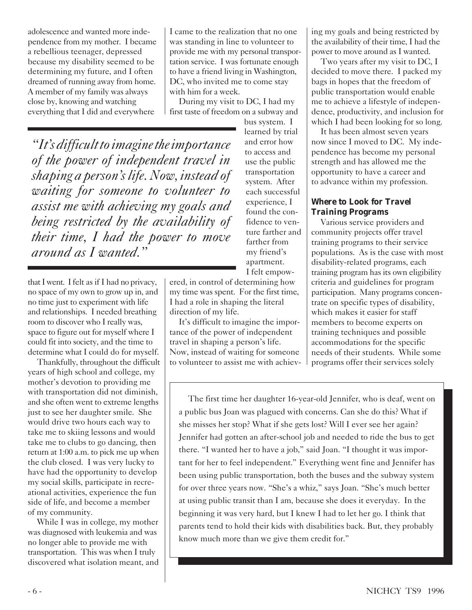adolescence and wanted more independence from my mother. I became a rebellious teenager, depressed because my disability seemed to be determining my future, and I often dreamed of running away from home. A member of my family was always close by, knowing and watching everything that I did and everywhere

I came to the realization that no one was standing in line to volunteer to provide me with my personal transportation service. I was fortunate enough to have a friend living in Washington, DC, who invited me to come stay with him for a week.

During my visit to DC, I had my first taste of freedom on a subway and

*"It's difficult to imagine the importance of the power of independent travel in shaping a person's life. Now, instead of waiting for someone to volunteer to assist me with achieving my goals and being restricted by the availability of their time, I had the power to move around as I wanted."*

that I went. I felt as if I had no privacy, no space of my own to grow up in, and no time just to experiment with life and relationships. I needed breathing room to discover who I really was, space to figure out for myself where I could fit into society, and the time to determine what I could do for myself.

Thankfully, throughout the difficult years of high school and college, my mother's devotion to providing me with transportation did not diminish, and she often went to extreme lengths just to see her daughter smile. She would drive two hours each way to take me to skiing lessons and would take me to clubs to go dancing, then return at 1:00 a.m. to pick me up when the club closed. I was very lucky to have had the opportunity to develop my social skills, participate in recreational activities, experience the fun side of life, and become a member of my community.

While I was in college, my mother was diagnosed with leukemia and was no longer able to provide me with transportation. This was when I truly discovered what isolation meant, and bus system. I learned by trial and error how to access and use the public transportation system. After each successful experience, I found the confidence to venture farther and farther from my friend's apartment. I felt empow-

ered, in control of determining how my time was spent. For the first time, I had a role in shaping the literal direction of my life.

It's difficult to imagine the importance of the power of independent travel in shaping a person's life. Now, instead of waiting for someone to volunteer to assist me with achieving my goals and being restricted by the availability of their time, I had the power to move around as I wanted.

Two years after my visit to DC, I decided to move there. I packed my bags in hopes that the freedom of public transportation would enable me to achieve a lifestyle of independence, productivity, and inclusion for which I had been looking for so long.

It has been almost seven years now since I moved to DC. My independence has become my personal strength and has allowed me the opportunity to have a career and to advance within my profession.

### *Where to Look for Travel Training Programs*

Various service providers and community projects offer travel training programs to their service populations. As is the case with most disability-related programs, each training program has its own eligibility criteria and guidelines for program participation. Many programs concentrate on specific types of disability, which makes it easier for staff members to become experts on training techniques and possible accommodations for the specific needs of their students. While some programs offer their services solely

The first time her daughter 16-year-old Jennifer, who is deaf, went on a public bus Joan was plagued with concerns. Can she do this? What if she misses her stop? What if she gets lost? Will I ever see her again? Jennifer had gotten an after-school job and needed to ride the bus to get there. "I wanted her to have a job," said Joan. "I thought it was important for her to feel independent." Everything went fine and Jennifer has been using public transportation, both the buses and the subway system for over three years now. "She's a whiz," says Joan. "She's much better at using public transit than I am, because she does it everyday. In the beginning it was very hard, but I knew I had to let her go. I think that parents tend to hold their kids with disabilities back. But, they probably know much more than we give them credit for."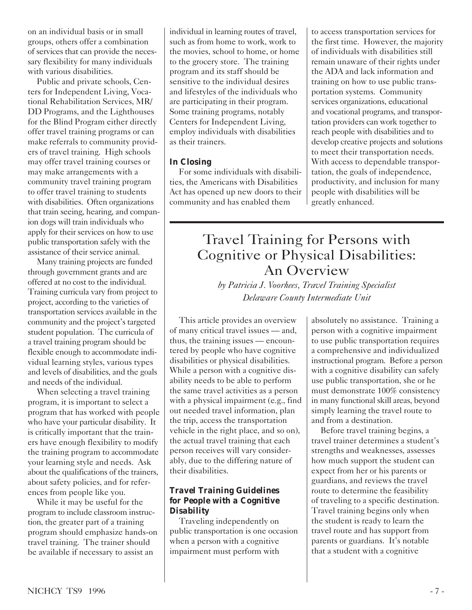on an individual basis or in small groups, others offer a combination of services that can provide the necessary flexibility for many individuals with various disabilities.

Public and private schools, Centers for Independent Living, Vocational Rehabilitation Services, MR/ DD Programs, and the Lighthouses for the Blind Program either directly offer travel training programs or can make referrals to community providers of travel training. High schools may offer travel training courses or may make arrangements with a community travel training program to offer travel training to students with disabilities. Often organizations that train seeing, hearing, and companion dogs will train individuals who apply for their services on how to use public transportation safely with the assistance of their service animal.

Many training projects are funded through government grants and are offered at no cost to the individual. Training curricula vary from project to project, according to the varieties of transportation services available in the community and the project's targeted student population. The curricula of a travel training program should be flexible enough to accommodate individual learning styles, various types and levels of disabilities, and the goals and needs of the individual.

When selecting a travel training program, it is important to select a program that has worked with people who have your particular disability. It is critically important that the trainers have enough flexibility to modify the training program to accommodate your learning style and needs. Ask about the qualifications of the trainers, about safety policies, and for references from people like you.

While it may be useful for the program to include classroom instruction, the greater part of a training program should emphasize hands-on travel training. The trainer should be available if necessary to assist an

individual in learning routes of travel, such as from home to work, work to the movies, school to home, or home to the grocery store. The training program and its staff should be sensitive to the individual desires and lifestyles of the individuals who are participating in their program. Some training programs, notably Centers for Independent Living, employ individuals with disabilities as their trainers.

### *In Closing*

For some individuals with disabilities, the Americans with Disabilities Act has opened up new doors to their community and has enabled them

to access transportation services for the first time. However, the majority of individuals with disabilities still remain unaware of their rights under the ADA and lack information and training on how to use public transportation systems. Community services organizations, educational and vocational programs, and transportation providers can work together to reach people with disabilities and to develop creative projects and solutions to meet their transportation needs. With access to dependable transportation, the goals of independence, productivity, and inclusion for many people with disabilities will be greatly enhanced.

### Travel Training for Persons with Cognitive or Physical Disabilities: An Overview

*by Patricia J. Voorhees, Travel Training Specialist Delaware County Intermediate Unit*

This article provides an overview of many critical travel issues — and, thus, the training issues — encountered by people who have cognitive disabilities or physical disabilities. While a person with a cognitive disability needs to be able to perform the same travel activities as a person with a physical impairment (e.g., find out needed travel information, plan the trip, access the transportation vehicle in the right place, and so on), the actual travel training that each person receives will vary considerably, due to the differing nature of their disabilities.

### *Travel Training Guidelines for People with a Cognitive Disability*

Traveling independently on public transportation is one occasion when a person with a cognitive impairment must perform with

absolutely no assistance. Training a person with a cognitive impairment to use public transportation requires a comprehensive and individualized instructional program. Before a person with a cognitive disability can safely use public transportation, she or he must demonstrate 100% consistency in many functional skill areas, beyond simply learning the travel route to and from a destination.

Before travel training begins, a travel trainer determines a student's strengths and weaknesses, assesses how much support the student can expect from her or his parents or guardians, and reviews the travel route to determine the feasibility of traveling to a specific destination. Travel training begins only when the student is ready to learn the travel route and has support from parents or guardians. It's notable that a student with a cognitive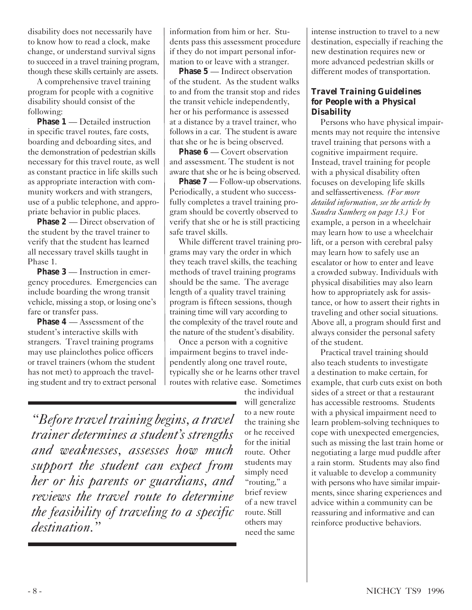disability does not necessarily have to know how to read a clock, make change, or understand survival signs to succeed in a travel training program, though these skills certainly are assets.

A comprehensive travel training program for people with a cognitive disability should consist of the following:

**Phase 1** — Detailed instruction in specific travel routes, fare costs, boarding and deboarding sites, and the demonstration of pedestrian skills necessary for this travel route, as well as constant practice in life skills such as appropriate interaction with community workers and with strangers, use of a public telephone, and appropriate behavior in public places.

**Phase 2** — Direct observation of the student by the travel trainer to verify that the student has learned all necessary travel skills taught in Phase 1.

**Phase 3** — Instruction in emergency procedures. Emergencies can include boarding the wrong transit vehicle, missing a stop, or losing one's fare or transfer pass.

**Phase 4** — Assessment of the student's interactive skills with strangers. Travel training programs may use plainclothes police officers or travel trainers (whom the student has not met) to approach the traveling student and try to extract personal information from him or her. Students pass this assessment procedure if they do not impart personal information to or leave with a stranger.

**Phase 5** — Indirect observation of the student. As the student walks to and from the transit stop and rides the transit vehicle independently, her or his performance is assessed at a distance by a travel trainer, who follows in a car. The student is aware that she or he is being observed.

**Phase 6** — Covert observation and assessment. The student is not aware that she or he is being observed.

**Phase 7** — Follow-up observations. Periodically, a student who successfully completes a travel training program should be covertly observed to verify that she or he is still practicing safe travel skills.

While different travel training programs may vary the order in which they teach travel skills, the teaching methods of travel training programs should be the same. The average length of a quality travel training program is fifteen sessions, though training time will vary according to the complexity of the travel route and the nature of the student's disability.

Once a person with a cognitive impairment begins to travel independently along one travel route, typically she or he learns other travel routes with relative ease. Sometimes

*"Before travel training begins, a travel trainer determines a student's strengths and weaknesses, assesses how much support the student can expect from her or his parents or guardians, and reviews the travel route to determine the feasibility of traveling to a specific destination."*

the individual will generalize to a new route the training she or he received for the initial route. Other students may simply need "routing," a brief review of a new travel route. Still others may need the same

intense instruction to travel to a new destination, especially if reaching the new destination requires new or more advanced pedestrian skills or different modes of transportation.

### *Travel Training Guidelines for People with a Physical Disability*

Persons who have physical impairments may not require the intensive travel training that persons with a cognitive impairment require. Instead, travel training for people with a physical disability often focuses on developing life skills and selfassertiveness. *(For more detailed information, see the article by Sandra Samberg on page 13.)* For example, a person in a wheelchair may learn how to use a wheelchair lift, or a person with cerebral palsy may learn how to safely use an escalator or how to enter and leave a crowded subway. Individuals with physical disabilities may also learn how to appropriately ask for assistance, or how to assert their rights in traveling and other social situations. Above all, a program should first and always consider the personal safety of the student.

Practical travel training should also teach students to investigate a destination to make certain, for example, that curb cuts exist on both sides of a street or that a restaurant has accessible restrooms. Students with a physical impairment need to learn problem-solving techniques to cope with unexpected emergencies, such as missing the last train home or negotiating a large mud puddle after a rain storm. Students may also find it valuable to develop a community with persons who have similar impairments, since sharing experiences and advice within a community can be reassuring and informative and can reinforce productive behaviors.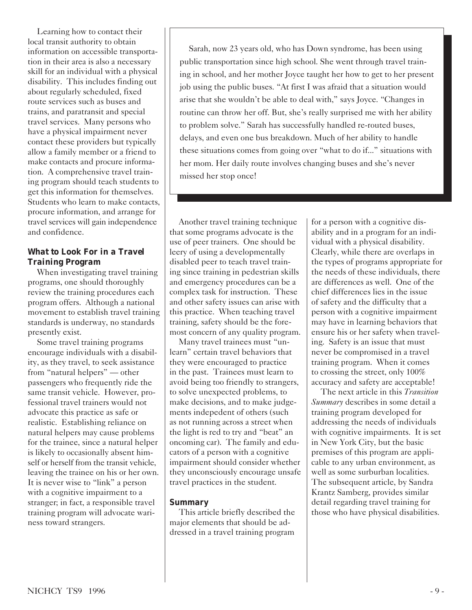Learning how to contact their local transit authority to obtain information on accessible transportation in their area is also a necessary skill for an individual with a physical disability. This includes finding out about regularly scheduled, fixed route services such as buses and trains, and paratransit and special travel services. Many persons who have a physical impairment never contact these providers but typically allow a family member or a friend to make contacts and procure information. A comprehensive travel training program should teach students to get this information for themselves. Students who learn to make contacts, procure information, and arrange for travel services will gain independence and confidence.

### *What to Look For in a Travel Training Program*

When investigating travel training programs, one should thoroughly review the training procedures each program offers. Although a national movement to establish travel training standards is underway, no standards presently exist.

Some travel training programs encourage individuals with a disability, as they travel, to seek assistance from "natural helpers" — other passengers who frequently ride the same transit vehicle. However, professional travel trainers would not advocate this practice as safe or realistic. Establishing reliance on natural helpers may cause problems for the trainee, since a natural helper is likely to occasionally absent himself or herself from the transit vehicle, leaving the trainee on his or her own. It is never wise to "link" a person with a cognitive impairment to a stranger; in fact, a responsible travel training program will advocate wariness toward strangers.

Sarah, now 23 years old, who has Down syndrome, has been using public transportation since high school. She went through travel training in school, and her mother Joyce taught her how to get to her present job using the public buses. "At first I was afraid that a situation would arise that she wouldn't be able to deal with," says Joyce. "Changes in routine can throw her off. But, she's really surprised me with her ability to problem solve." Sarah has successfully handled re-routed buses, delays, and even one bus breakdown. Much of her ability to handle these situations comes from going over "what to do if..." situations with her mom. Her daily route involves changing buses and she's never missed her stop once!

Another travel training technique that some programs advocate is the use of peer trainers. One should be leery of using a developmentally disabled peer to teach travel training since training in pedestrian skills and emergency procedures can be a complex task for instruction. These and other safety issues can arise with this practice. When teaching travel training, safety should be the foremost concern of any quality program.

Many travel trainees must "unlearn" certain travel behaviors that they were encouraged to practice in the past. Trainees must learn to avoid being too friendly to strangers, to solve unexpected problems, to make decisions, and to make judgements indepedent of others (such as not running across a street when the light is red to try and "beat" an oncoming car). The family and educators of a person with a cognitive impairment should consider whether they unconsciously encourage unsafe travel practices in the student.

#### *Summary*

This article briefly described the major elements that should be addressed in a travel training program for a person with a cognitive disability and in a program for an individual with a physical disability. Clearly, while there are overlaps in the types of programs appropriate for the needs of these individuals, there are differences as well. One of the chief differences lies in the issue of safety and the difficulty that a person with a cognitive impairment may have in learning behaviors that ensure his or her safety when traveling. Safety is an issue that must never be compromised in a travel training program. When it comes to crossing the street, only 100% accuracy and safety are acceptable!

The next article in this *Transition Summary* describes in some detail a training program developed for addressing the needs of individuals with cognitive impairments. It is set in New York City, but the basic premises of this program are applicable to any urban environment, as well as some surburban localities. The subsequent article, by Sandra Krantz Samberg, provides similar detail regarding travel training for those who have physical disabilities.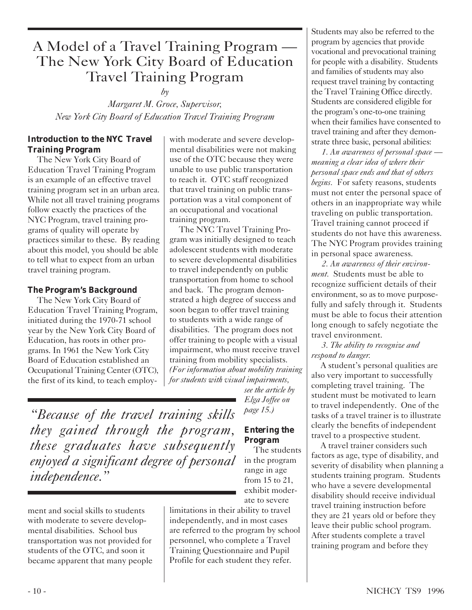### A Model of a Travel Training Program — The New York City Board of Education Travel Training Program

*by*

*Margaret M. Groce, Supervisor, New York City Board of Education Travel Training Program*

### *Introduction to the NYC Travel Training Program*

The New York City Board of Education Travel Training Program is an example of an effective travel training program set in an urban area. While not all travel training programs follow exactly the practices of the NYC Program, travel training programs of quality will operate by practices similar to these. By reading about this model, you should be able to tell what to expect from an urban travel training program.

### *The Program's Background*

The New York City Board of Education Travel Training Program, initiated during the 1970-71 school year by the New York City Board of Education, has roots in other programs. In 1961 the New York City Board of Education established an Occupational Training Center (OTC), the first of its kind, to teach employwith moderate and severe developmental disabilities were not making use of the OTC because they were unable to use public transportation to reach it. OTC staff recognized that travel training on public transportation was a vital component of an occupational and vocational training program.

The NYC Travel Training Program was initially designed to teach adolescent students with moderate to severe developmental disabilities to travel independently on public transportation from home to school and back. The program demonstrated a high degree of success and soon began to offer travel training to students with a wide range of disabilities. The program does not offer training to people with a visual impairment, who must receive travel training from mobility specialists. *(For information about mobility training for students with visual impairments,*

*see the article by Elga Joffee on page 15.)*

*"Because of the travel training skills they gained through the program, these graduates have subsequently enjoyed a significant degree of personal independence."*

ment and social skills to students with moderate to severe developmental disabilities. School bus transportation was not provided for students of the OTC, and soon it became apparent that many people

### *Entering the Program*

The students in the program range in age from 15 to 21, exhibit moderate to severe

limitations in their ability to travel independently, and in most cases are referred to the program by school personnel, who complete a Travel Training Questionnaire and Pupil Profile for each student they refer.

Students may also be referred to the program by agencies that provide vocational and prevocational training for people with a disability. Students and families of students may also request travel training by contacting the Travel Training Office directly. Students are considered eligible for the program's one-to-one training when their families have consented to travel training and after they demonstrate three basic, personal abilities:

*1. An awareness of personal space meaning a clear idea of where their personal space ends and that of others begins.* For safety reasons, students must not enter the personal space of others in an inappropriate way while traveling on public transportation. Travel training cannot proceed if students do not have this awareness. The NYC Program provides training in personal space awareness.

*2. An awareness of their environment.* Students must be able to recognize sufficient details of their environment, so as to move purposefully and safely through it. Students must be able to focus their attention long enough to safely negotiate the travel environment.

*3. The ability to recognize and respond to danger.*

A student's personal qualities are also very important to successfully completing travel training. The student must be motivated to learn to travel independently. One of the tasks of a travel trainer is to illustrate clearly the benefits of independent travel to a prospective student.

A travel trainer considers such factors as age, type of disability, and severity of disability when planning a students training program. Students who have a severe developmental disability should receive individual travel training instruction before they are 21 years old or before they leave their public school program. After students complete a travel training program and before they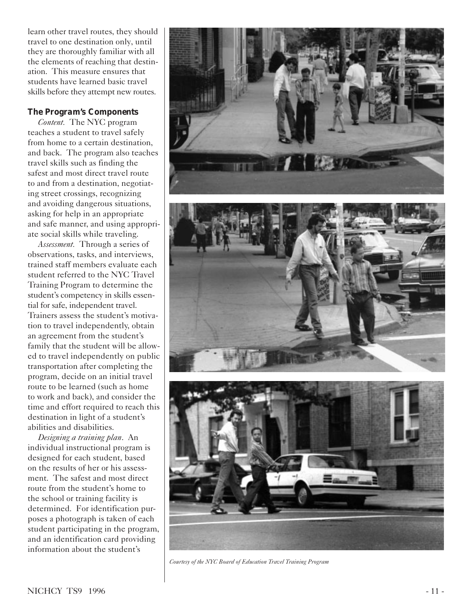learn other travel routes, they should travel to one destination only, until they are thoroughly familiar with all the elements of reaching that destination. This measure ensures that students have learned basic travel skills before they attempt new routes.

### *The Program's Components*

*Content.* The NYC program teaches a student to travel safely from home to a certain destination, and back. The program also teaches travel skills such as finding the safest and most direct travel route to and from a destination, negotiating street crossings, recognizing and avoiding dangerous situations, asking for help in an appropriate and safe manner, and using appropriate social skills while traveling.

*Assessment.* Through a series of observations, tasks, and interviews, trained staff members evaluate each student referred to the NYC Travel Training Program to determine the student's competency in skills essential for safe, independent travel. Trainers assess the student's motivation to travel independently, obtain an agreement from the student's family that the student will be allowed to travel independently on public transportation after completing the program, decide on an initial travel route to be learned (such as home to work and back), and consider the time and effort required to reach this destination in light of a student's abilities and disabilities.

*Designing a training plan*. An individual instructional program is designed for each student, based on the results of her or his assessment. The safest and most direct route from the student's home to the school or training facility is determined. For identification purposes a photograph is taken of each student participating in the program, and an identification card providing information about the student's



*Courtesy of the NYC Board of Education Travel Training Program*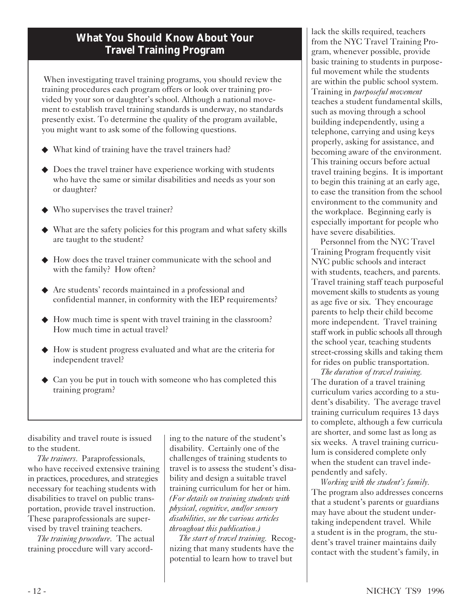### **What You Should Know About Your Travel Training Program**

 When investigating travel training programs, you should review the training procedures each program offers or look over training provided by your son or daughter's school. Although a national movement to establish travel training standards is underway, no standards presently exist. To determine the quality of the program available, you might want to ask some of the following questions.

- ◆ What kind of training have the travel trainers had?
- ◆ Does the travel trainer have experience working with students who have the same or similar disabilities and needs as your son or daughter?
- ◆ Who supervises the travel trainer?
- ◆ What are the safety policies for this program and what safety skills are taught to the student?
- ◆ How does the travel trainer communicate with the school and with the family? How often?
- ◆ Are students' records maintained in a professional and confidential manner, in conformity with the IEP requirements?
- ◆ How much time is spent with travel training in the classroom? How much time in actual travel?
- ◆ How is student progress evaluated and what are the criteria for independent travel?
- ◆ Can you be put in touch with someone who has completed this training program?

disability and travel route is issued to the student.

*The trainers.* Paraprofessionals, who have received extensive training in practices, procedures, and strategies necessary for teaching students with disabilities to travel on public transportation, provide travel instruction. These paraprofessionals are supervised by travel training teachers.

*The training procedure*. The actual training procedure will vary according to the nature of the student's disability. Certainly one of the challenges of training students to travel is to assess the student's disability and design a suitable travel training curriculum for her or him. *(For details on training students with physical, cognitive, and/or sensory disabilities, see the various articles throughout this publication.)*

*The start of travel training.* Recognizing that many students have the potential to learn how to travel but

lack the skills required, teachers from the NYC Travel Training Program, whenever possible, provide basic training to students in purposeful movement while the students are within the public school system. Training in *purposeful movement* teaches a student fundamental skills, such as moving through a school building independently, using a telephone, carrying and using keys properly, asking for assistance, and becoming aware of the environment. This training occurs before actual travel training begins. It is important to begin this training at an early age, to ease the transition from the school environment to the community and the workplace. Beginning early is especially important for people who have severe disabilities.

Personnel from the NYC Travel Training Program frequently visit NYC public schools and interact with students, teachers, and parents. Travel training staff teach purposeful movement skills to students as young as age five or six. They encourage parents to help their child become more independent. Travel training staff work in public schools all through the school year, teaching students street-crossing skills and taking them for rides on public transportation.

*The duration of travel training.* The duration of a travel training curriculum varies according to a student's disability. The average travel training curriculum requires 13 days to complete, although a few curricula are shorter, and some last as long as six weeks. A travel training curriculum is considered complete only when the student can travel independently and safely.

*Working with the student's family.* The program also addresses concerns that a student's parents or guardians may have about the student undertaking independent travel. While a student is in the program, the student's travel trainer maintains daily contact with the student's family, in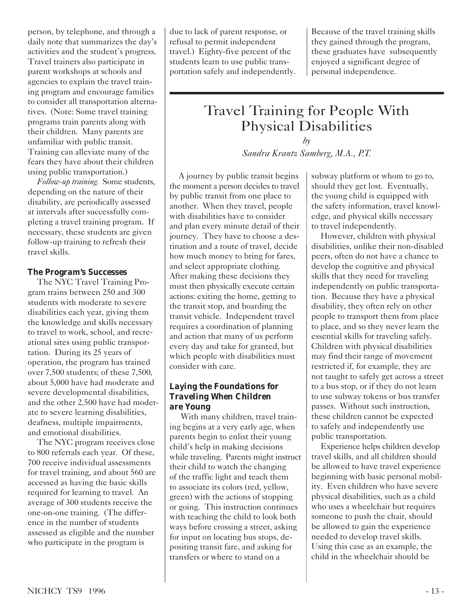person, by telephone, and through a daily note that summarizes the day's activities and the student's progress. Travel trainers also participate in parent workshops at schools and agencies to explain the travel training program and encourage families to consider all transportation alternatives. (Note: Some travel training programs train parents along with their children. Many parents are unfamiliar with public transit. Training can alleviate many of the fears they have about their children using public transportation.)

*Follow-up training.* Some students, depending on the nature of their disability, are periodically assessed at intervals after successfully completing a travel training program. If necessary, these students are given follow-up training to refresh their travel skills.

### *The Program's Successes*

The NYC Travel Training Program trains between 250 and 300 students with moderate to severe disabilities each year, giving them the knowledge and skills necessary to travel to work, school, and recreational sites using public transportation. During its 25 years of operation, the program has trained over 7,500 students; of these 7,500, about 5,000 have had moderate and severe developmental disabilities, and the other 2,500 have had moderate to severe learning disabilities, deafness, multiple impairments, and emotional disabilities.

The NYC program receives close to 800 referrals each year. Of these, 700 receive individual assessments for travel training, and about 560 are accessed as having the basic skills required for learning to travel. An average of 300 students receive the one-on-one training. (The difference in the number of students assessed as eligible and the number who participate in the program is

due to lack of parent response, or refusal to permit independent travel.) Eighty-five percent of the students learn to use public transportation safely and independently.

Because of the travel training skills they gained through the program, these graduates have subsequently enjoyed a significant degree of personal independence.

### Travel Training for People With Physical Disabilities

*by*

*Sandra Krantz Samberg, M.A., P.T.*

A journey by public transit begins the moment a person decides to travel by public transit from one place to another. When they travel, people with disabilities have to consider and plan every minute detail of their journey. They have to choose a destination and a route of travel, decide how much money to bring for fares, and select appropriate clothing. After making these decisions they must then physically execute certain actions: exiting the home, getting to the transit stop, and boarding the transit vehicle. Independent travel requires a coordination of planning and action that many of us perform every day and take for granted, but which people with disabilities must consider with care.

### *Laying the Foundations for Traveling When Children are Young*

 With many children, travel training begins at a very early age, when parents begin to enlist their young child's help in making decisions while traveling. Parents might instruct their child to watch the changing of the traffic light and teach them to associate its colors (red, yellow, green) with the actions of stopping or going. This instruction continues with teaching the child to look both ways before crossing a street, asking for input on locating bus stops, depositing transit fare, and asking for transfers or where to stand on a

subway platform or whom to go to, should they get lost. Eventually, the young child is equipped with the safety information, travel knowledge, and physical skills necessary to travel independently.

However, children with physical disabilities, unlike their non-disabled peers, often do not have a chance to develop the cognitive and physical skills that they need for traveling independently on public transportation. Because they have a physical disability, they often rely on other people to transport them from place to place, and so they never learn the essential skills for traveling safely. Children with physical disabilities may find their range of movement restricted if, for example, they are not taught to safely get across a street to a bus stop, or if they do not learn to use subway tokens or bus transfer passes. Without such instruction, these children cannot be expected to safely and independently use public transportation.

Experience helps children develop travel skills, and all children should be allowed to have travel experience beginning with basic personal mobility. Even children who have severe physical disabilities, such as a child who uses a wheelchair but requires someone to push the chair, should be allowed to gain the experience needed to develop travel skills. Using this case as an example, the child in the wheelchair should be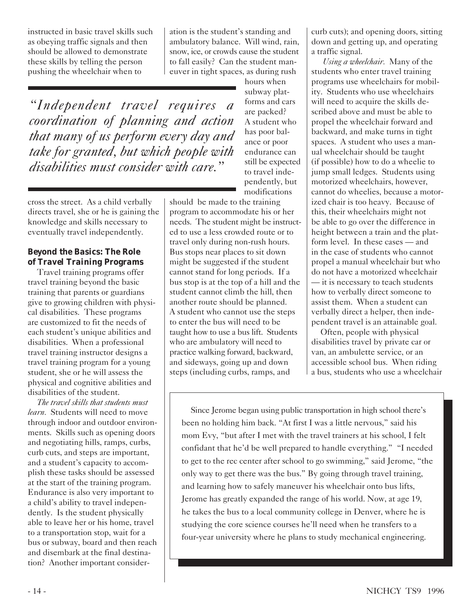instructed in basic travel skills such as obeying traffic signals and then should be allowed to demonstrate these skills by telling the person pushing the wheelchair when to

ation is the student's standing and ambulatory balance. Will wind, rain, snow, ice, or crowds cause the student to fall easily? Can the student maneuver in tight spaces, as during rush

*"Independent travel requires a coordination of planning and action that many of us perform every day and take for granted, but which people with disabilities must consider with care."*

cross the street. As a child verbally directs travel, she or he is gaining the knowledge and skills necessary to eventually travel independently.

### *Beyond the Basics: The Role of Travel Training Programs*

Travel training programs offer travel training beyond the basic training that parents or guardians give to growing children with physical disabilities. These programs are customized to fit the needs of each student's unique abilities and disabilities. When a professional travel training instructor designs a travel training program for a young student, she or he will assess the physical and cognitive abilities and disabilities of the student.

*The travel skills that students must learn.* Students will need to move through indoor and outdoor environments. Skills such as opening doors and negotiating hills, ramps, curbs, curb cuts, and steps are important, and a student's capacity to accomplish these tasks should be assessed at the start of the training program. Endurance is also very important to a child's ability to travel independently. Is the student physically able to leave her or his home, travel to a transportation stop, wait for a bus or subway, board and then reach and disembark at the final destination? Another important consider-

hours when subway platforms and cars are packed? A student who has poor balance or poor endurance can still be expected to travel independently, but modifications

should be made to the training program to accommodate his or her needs. The student might be instructed to use a less crowded route or to travel only during non-rush hours. Bus stops near places to sit down might be suggested if the student cannot stand for long periods. If a bus stop is at the top of a hill and the student cannot climb the hill, then another route should be planned. A student who cannot use the steps to enter the bus will need to be taught how to use a bus lift. Students who are ambulatory will need to practice walking forward, backward, and sideways, going up and down steps (including curbs, ramps, and

curb cuts); and opening doors, sitting down and getting up, and operating a traffic signal.

*Using a wheelchair.* Many of the students who enter travel training programs use wheelchairs for mobility. Students who use wheelchairs will need to acquire the skills described above and must be able to propel the wheelchair forward and backward, and make turns in tight spaces. A student who uses a manual wheelchair should be taught (if possible) how to do a wheelie to jump small ledges. Students using motorized wheelchairs, however, cannot do wheelies, because a motorized chair is too heavy. Because of this, their wheelchairs might not be able to go over the difference in height between a train and the platform level. In these cases — and in the case of students who cannot propel a manual wheelchair but who do not have a motorized wheelchair — it is necessary to teach students how to verbally direct someone to assist them. When a student can verbally direct a helper, then independent travel is an attainable goal.

Often, people with physical disabilities travel by private car or van, an ambulette service, or an accessible school bus. When riding a bus, students who use a wheelchair

Since Jerome began using public transportation in high school there's been no holding him back. "At first I was a little nervous," said his mom Evy, "but after I met with the travel trainers at his school, I felt confidant that he'd be well prepared to handle everything." "I needed to get to the rec center after school to go swimming," said Jerome, "the only way to get there was the bus." By going through travel training, and learning how to safely maneuver his wheelchair onto bus lifts, Jerome has greatly expanded the range of his world. Now, at age 19, he takes the bus to a local community college in Denver, where he is studying the core science courses he'll need when he transfers to a four-year university where he plans to study mechanical engineering.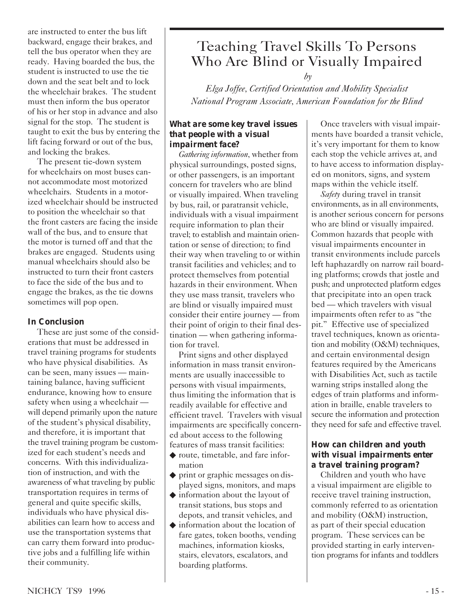are instructed to enter the bus lift backward, engage their brakes, and tell the bus operator when they are ready. Having boarded the bus, the student is instructed to use the tie down and the seat belt and to lock the wheelchair brakes. The student must then inform the bus operator of his or her stop in advance and also signal for the stop. The student is taught to exit the bus by entering the lift facing forward or out of the bus, and locking the brakes.

The present tie-down system for wheelchairs on most buses cannot accommodate most motorized wheelchairs. Students in a motorized wheelchair should be instructed to position the wheelchair so that the front casters are facing the inside wall of the bus, and to ensure that the motor is turned off and that the brakes are engaged. Students using manual wheelchairs should also be instructed to turn their front casters to face the side of the bus and to engage the brakes, as the tie downs sometimes will pop open.

### *In Conclusion*

These are just some of the considerations that must be addressed in travel training programs for students who have physical disabilities. As can be seen, many issues — maintaining balance, having sufficient endurance, knowing how to ensure safety when using a wheelchair will depend primarily upon the nature of the student's physical disability, and therefore, it is important that the travel training program be customized for each student's needs and concerns. With this individualization of instruction, and with the awareness of what traveling by public transportation requires in terms of general and quite specific skills, individuals who have physical disabilities can learn how to access and use the transportation systems that can carry them forward into productive jobs and a fulfilling life within their community.

### Teaching Travel Skills To Persons Who Are Blind or Visually Impaired

 *by*

*Elga Joffee, Certified Orientation and Mobility Specialist National Program Associate, American Foundation for the Blind*

#### *What are some key travel issues that people with a visual impairment face?*

*Gathering information*, whether from physical surroundings, posted signs, or other passengers, is an important concern for travelers who are blind or visually impaired. When traveling by bus, rail, or paratransit vehicle, individuals with a visual impairment require information to plan their travel; to establish and maintain orientation or sense of direction; to find their way when traveling to or within transit facilities and vehicles; and to protect themselves from potential hazards in their environment. When they use mass transit, travelers who are blind or visually impaired must consider their entire journey — from their point of origin to their final destination — when gathering information for travel.

Print signs and other displayed information in mass transit environments are usually inaccessible to persons with visual impairments, thus limiting the information that is readily available for effective and efficient travel. Travelers with visual impairments are specifically concerned about access to the following features of mass transit facilities:

- ◆ route, timetable, and fare information
- ◆ print or graphic messages on displayed signs, monitors, and maps
- ◆ information about the layout of transit stations, bus stops and depots, and transit vehicles, and
- ◆ information about the location of fare gates, token booths, vending machines, information kiosks, stairs, elevators, escalators, and boarding platforms.

Once travelers with visual impairments have boarded a transit vehicle, it's very important for them to know each stop the vehicle arrives at, and to have access to information displayed on monitors, signs, and system maps within the vehicle itself.

*Safety* during travel in transit environments, as in all environments, is another serious concern for persons who are blind or visually impaired. Common hazards that people with visual impairments encounter in transit environments include parcels left haphazardly on narrow rail boarding platforms; crowds that jostle and push; and unprotected platform edges that precipitate into an open track bed — which travelers with visual impairments often refer to as "the pit." Effective use of specialized travel techniques, known as orientation and mobility (O&M) techniques, and certain environmental design features required by the Americans with Disabilities Act, such as tactile warning strips installed along the edges of train platforms and information in braille, enable travelers to secure the information and protection they need for safe and effective travel.

### *How can children and youth with visual impairments enter a travel training program?*

Children and youth who have a visual impairment are eligible to receive travel training instruction, commonly referred to as orientation and mobility (O&M) instruction, as part of their special education program. These services can be provided starting in early intervention programs for infants and toddlers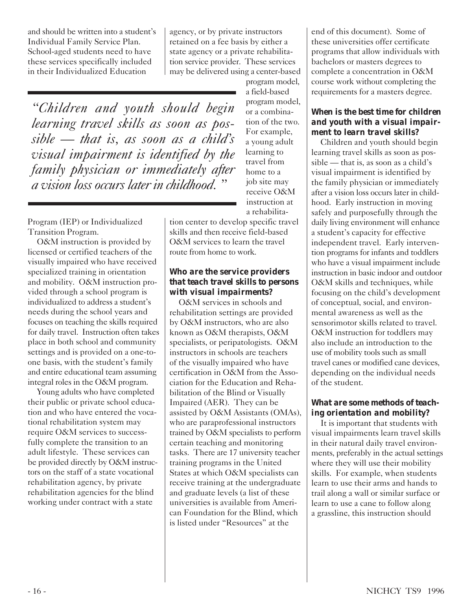and should be written into a student's Individual Family Service Plan. School-aged students need to have these services specifically included in their Individualized Education

agency, or by private instructors retained on a fee basis by either a state agency or a private rehabilitation service provider. These services may be delivered using a center-based

*"Children and youth should begin learning travel skills as soon as possible — that is, as soon as a child's visual impairment is identified by the family physician or immediately after a vision loss occurs later in childhood. "*

program model, a field-based program model, or a combination of the two. For example, a young adult learning to travel from home to a job site may receive O&M instruction at a rehabilita-

tion center to develop specific travel skills and then receive field-based O&M services to learn the travel route from home to work.

#### *Who are the service providers that teach travel skills to persons with visual impairments?*

O&M services in schools and rehabilitation settings are provided by O&M instructors, who are also known as O&M therapists, O&M specialists, or peripatologists. O&M instructors in schools are teachers of the visually impaired who have certification in O&M from the Association for the Education and Rehabilitation of the Blind or Visually Impaired (AER). They can be assisted by O&M Assistants (OMAs), who are paraprofessional instructors trained by O&M specialists to perform certain teaching and monitoring tasks. There are 17 university teacher training programs in the United States at which O&M specialists can receive training at the undergraduate and graduate levels (a list of these universities is available from American Foundation for the Blind, which is listed under "Resources" at the

end of this document). Some of these universities offer certificate programs that allow individuals with bachelors or masters degrees to complete a concentration in O&M course work without completing the requirements for a masters degree.

### *When is the best time for children and youth with a visual impairment to learn travel skills?*

Children and youth should begin learning travel skills as soon as possible — that is, as soon as a child's visual impairment is identified by the family physician or immediately after a vision loss occurs later in childhood. Early instruction in moving safely and purposefully through the daily living environment will enhance a student's capacity for effective independent travel. Early intervention programs for infants and toddlers who have a visual impairment include instruction in basic indoor and outdoor O&M skills and techniques, while focusing on the child's development of conceptual, social, and environmental awareness as well as the sensorimotor skills related to travel. O&M instruction for toddlers may also include an introduction to the use of mobility tools such as small travel canes or modified cane devices, depending on the individual needs of the student.

### *What are some methods of teaching orientation and mobility?*

It is important that students with visual impairments learn travel skills in their natural daily travel environments, preferably in the actual settings where they will use their mobility skills. For example, when students learn to use their arms and hands to trail along a wall or similar surface or learn to use a cane to follow along a grassline, this instruction should

Program (IEP) or Individualized Transition Program.

O&M instruction is provided by licensed or certified teachers of the visually impaired who have received specialized training in orientation and mobility. O&M instruction provided through a school program is individualized to address a student's needs during the school years and focuses on teaching the skills required for daily travel. Instruction often takes place in both school and community settings and is provided on a one-toone basis, with the student's family and entire educational team assuming integral roles in the O&M program.

Young adults who have completed their public or private school education and who have entered the vocational rehabilitation system may require O&M services to successfully complete the transition to an adult lifestyle. These services can be provided directly by O&M instructors on the staff of a state vocational rehabilitation agency, by private rehabilitation agencies for the blind working under contract with a state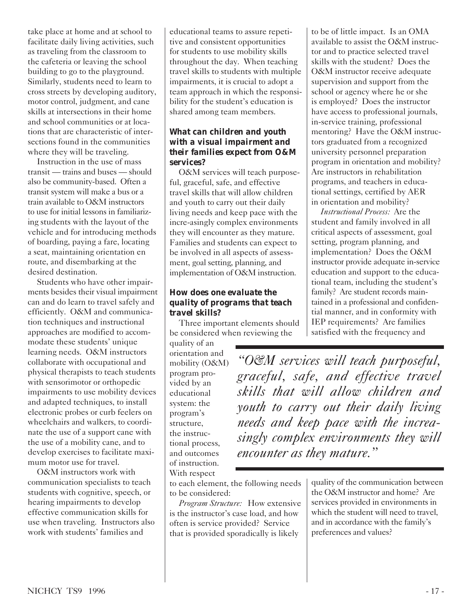take place at home and at school to facilitate daily living activities, such as traveling from the classroom to the cafeteria or leaving the school building to go to the playground. Similarly, students need to learn to cross streets by developing auditory, motor control, judgment, and cane skills at intersections in their home and school communities or at locations that are characteristic of intersections found in the communities where they will be traveling.

Instruction in the use of mass transit — trains and buses — should also be community-based. Often a transit system will make a bus or a train available to O&M instructors to use for initial lessons in familiarizing students with the layout of the vehicle and for introducing methods of boarding, paying a fare, locating a seat, maintaining orientation en route, and disembarking at the desired destination.

Students who have other impairments besides their visual impairment can and do learn to travel safely and efficiently. O&M and communication techniques and instructional approaches are modified to accommodate these students' unique learning needs. O&M instructors collaborate with occupational and physical therapists to teach students with sensorimotor or orthopedic impairments to use mobility devices and adapted techniques, to install electronic probes or curb feelers on wheelchairs and walkers, to coordinate the use of a support cane with the use of a mobility cane, and to develop exercises to facilitate maximum motor use for travel.

O&M instructors work with communication specialists to teach students with cognitive, speech, or hearing impairments to develop effective communication skills for use when traveling. Instructors also work with students' families and

educational teams to assure repetitive and consistent opportunities for students to use mobility skills throughout the day. When teaching travel skills to students with multiple impairments, it is crucial to adopt a team approach in which the responsibility for the student's education is shared among team members.

### *What can children and youth with a visual impairment and their families expect from O&M services?*

O&M services will teach purposeful, graceful, safe, and effective travel skills that will allow children and youth to carry out their daily living needs and keep pace with the incre-asingly complex environments they will encounter as they mature. Families and students can expect to be involved in all aspects of assessment, goal setting, planning, and implementation of O&M instruction.

### *How does one evaluate the quality of programs that teach travel skills?*

Three important elements should be considered when reviewing the

quality of an orientation and mobility (O&M) program provided by an educational system: the program's structure, the instructional process, and outcomes of instruction. With respect

to be of little impact. Is an OMA available to assist the O&M instructor and to practice selected travel skills with the student? Does the O&M instructor receive adequate supervision and support from the school or agency where he or she is employed? Does the instructor have access to professional journals, in-service training, professional mentoring? Have the O&M instructors graduated from a recognized university personnel preparation program in orientation and mobility? Are instructors in rehabilitation programs, and teachers in educational settings, certified by AER in orientation and mobility?

*Instructional Process:* Are the student and family involved in all critical aspects of assessment, goal setting, program planning, and implementation? Does the O&M instructor provide adequate in-service education and support to the educational team, including the student's family? Are student records maintained in a professional and confidential manner, and in conformity with IEP requirements? Are families satisfied with the frequency and

*"O&M services will teach purposeful, graceful, safe, and effective travel skills that will allow children and youth to carry out their daily living needs and keep pace with the increasingly complex environments they will encounter as they mature."*

to each element, the following needs to be considered:

*Program Structure:* How extensive is the instructor's case load, and how often is service provided? Service that is provided sporadically is likely

quality of the communication between the O&M instructor and home? Are services provided in environments in which the student will need to travel, and in accordance with the family's preferences and values?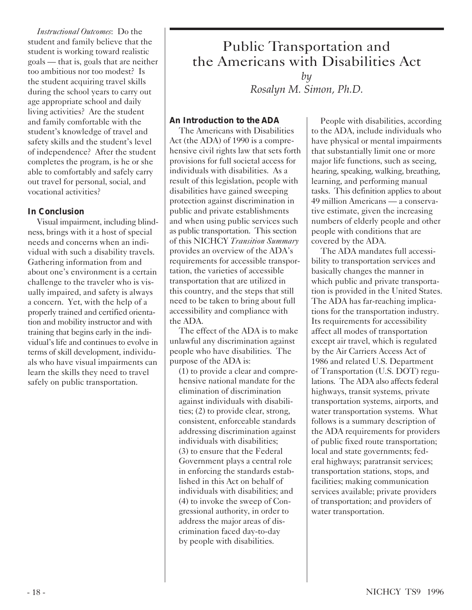*Instructional Outcomes*: Do the student and family believe that the student is working toward realistic goals — that is, goals that are neither too ambitious nor too modest? Is the student acquiring travel skills during the school years to carry out age appropriate school and daily living activities? Are the student and family comfortable with the student's knowledge of travel and safety skills and the student's level of independence? After the student completes the program, is he or she able to comfortably and safely carry out travel for personal, social, and vocational activities?

### *In Conclusion*

Visual impairment, including blindness, brings with it a host of special needs and concerns when an individual with such a disability travels. Gathering information from and about one's environment is a certain challenge to the traveler who is visually impaired, and safety is always a concern. Yet, with the help of a properly trained and certified orientation and mobility instructor and with training that begins early in the individual's life and continues to evolve in terms of skill development, individuals who have visual impairments can learn the skills they need to travel safely on public transportation.

### Public Transportation and the Americans with Disabilities Act *by*

*Rosalyn M. Simon, Ph.D.*

### *An Introduction to the ADA*

The Americans with Disabilities Act (the ADA) of 1990 is a comprehensive civil rights law that sets forth provisions for full societal access for individuals with disabilities. As a result of this legislation, people with disabilities have gained sweeping protection against discrimination in public and private establishments and when using public services such as public transportation. This section of this NICHCY *Transition Summary* provides an overview of the ADA's requirements for accessible transportation, the varieties of accessible transportation that are utilized in this country, and the steps that still need to be taken to bring about full accessibility and compliance with the ADA.

The effect of the ADA is to make unlawful any discrimination against people who have disabilities. The purpose of the ADA is:

(1) to provide a clear and comprehensive national mandate for the elimination of discrimination against individuals with disabilities; (2) to provide clear, strong, consistent, enforceable standards addressing discrimination against individuals with disabilities; (3) to ensure that the Federal Government plays a central role in enforcing the standards established in this Act on behalf of individuals with disabilities; and (4) to invoke the sweep of Congressional authority, in order to address the major areas of discrimination faced day-to-day by people with disabilities.

People with disabilities, according to the ADA, include individuals who have physical or mental impairments that substantially limit one or more major life functions, such as seeing, hearing, speaking, walking, breathing, learning, and performing manual tasks. This definition applies to about 49 million Americans — a conservative estimate, given the increasing numbers of elderly people and other people with conditions that are covered by the ADA.

The ADA mandates full accessibility to transportation services and basically changes the manner in which public and private transportation is provided in the United States. The ADA has far-reaching implications for the transportation industry. Its requirements for accessibility affect all modes of transportation except air travel, which is regulated by the Air Carriers Access Act of 1986 and related U.S. Department of Transportation (U.S. DOT) regulations. The ADA also affects federal highways, transit systems, private transportation systems, airports, and water transportation systems. What follows is a summary description of the ADA requirements for providers of public fixed route transportation; local and state governments; federal highways; paratransit services; transportation stations, stops, and facilities; making communication services available; private providers of transportation; and providers of water transportation.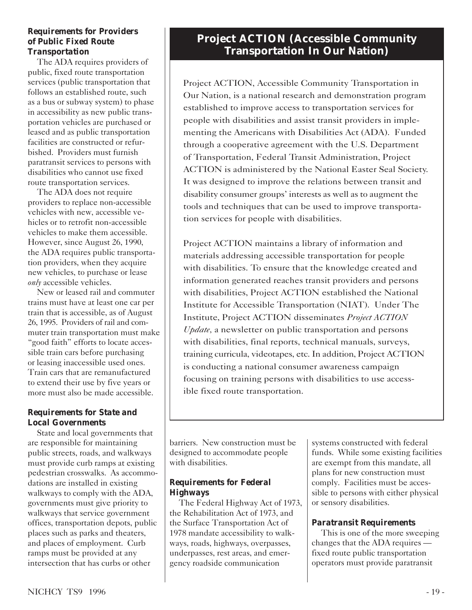#### *Requirements for Providers of Public Fixed Route Transportation*

The ADA requires providers of public, fixed route transportation services (public transportation that follows an established route, such as a bus or subway system) to phase in accessibility as new public transportation vehicles are purchased or leased and as public transportation facilities are constructed or refurbished. Providers must furnish paratransit services to persons with disabilities who cannot use fixed route transportation services.

The ADA does not require providers to replace non-accessible vehicles with new, accessible vehicles or to retrofit non-accessible vehicles to make them accessible. However, since August 26, 1990, the ADA requires public transportation providers, when they acquire new vehicles, to purchase or lease *only* accessible vehicles.

New or leased rail and commuter trains must have at least one car per train that is accessible, as of August 26, 1995. Providers of rail and commuter train transportation must make "good faith" efforts to locate accessible train cars before purchasing or leasing inaccessible used ones. Train cars that are remanufactured to extend their use by five years or more must also be made accessible.

### *Requirements for State and Local Governments*

State and local governments that are responsible for maintaining public streets, roads, and walkways must provide curb ramps at existing pedestrian crosswalks. As accommodations are installed in existing walkways to comply with the ADA, governments must give priority to walkways that service government offices, transportation depots, public places such as parks and theaters, and places of employment. Curb ramps must be provided at any intersection that has curbs or other

### **Project ACTION (Accessible Community Transportation In Our Nation)**

Project ACTION, Accessible Community Transportation in Our Nation, is a national research and demonstration program established to improve access to transportation services for people with disabilities and assist transit providers in implementing the Americans with Disabilities Act (ADA). Funded through a cooperative agreement with the U.S. Department of Transportation, Federal Transit Administration, Project ACTION is administered by the National Easter Seal Society. It was designed to improve the relations between transit and disability consumer groups' interests as well as to augment the tools and techniques that can be used to improve transportation services for people with disabilities.

Project ACTION maintains a library of information and materials addressing accessible transportation for people with disabilities. To ensure that the knowledge created and information generated reaches transit providers and persons with disabilities, Project ACTION established the National Institute for Accessible Transportation (NIAT). Under The Institute, Project ACTION disseminates *Project ACTION Update,* a newsletter on public transportation and persons with disabilities, final reports, technical manuals, surveys, training curricula, videotapes, etc. In addition, Project ACTION is conducting a national consumer awareness campaign focusing on training persons with disabilities to use accessible fixed route transportation.

barriers. New construction must be designed to accommodate people with disabilities.

### *Requirements for Federal Highways*

The Federal Highway Act of 1973, the Rehabilitation Act of 1973, and the Surface Transportation Act of 1978 mandate accessibility to walkways, roads, highways, overpasses, underpasses, rest areas, and emergency roadside communication

systems constructed with federal funds. While some existing facilities are exempt from this mandate, all plans for new construction must comply. Facilities must be accessible to persons with either physical or sensory disabilities.

### *Paratransit Requirements*

This is one of the more sweeping changes that the ADA requires fixed route public transportation operators must provide paratransit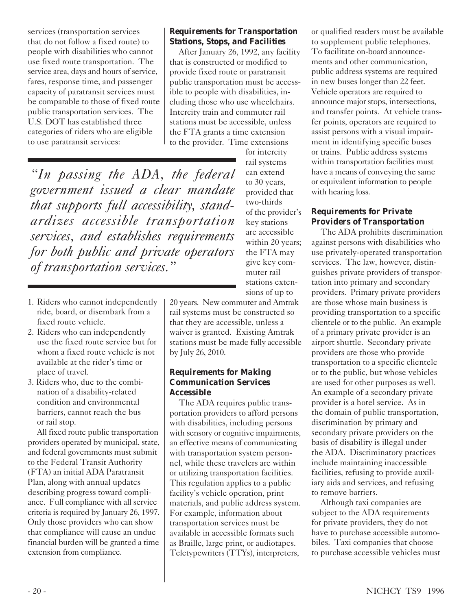services (transportation services that do not follow a fixed route) to people with disabilities who cannot use fixed route transportation. The service area, days and hours of service, fares, response time, and passenger capacity of paratransit services must be comparable to those of fixed route public transportation services. The U.S. DOT has established three categories of riders who are eligible to use paratransit services:

### *Requirements for Transportation Stations, Stops, and Facilities*

After January 26, 1992, any facility that is constructed or modified to provide fixed route or paratransit public transportation must be accessible to people with disabilities, including those who use wheelchairs. Intercity train and commuter rail stations must be accessible, unless the FTA grants a time extension to the provider. Time extensions

> for intercity rail systems can extend to 30 years, provided that two-thirds of the provider's key stations are accessible within 20 years; the FTA may give key commuter rail stations exten-

*"In passing the ADA, the federal government issued a clear mandate that supports full accessibility, standardizes accessible transportation services, and establishes requirements for both public and private operators of transportation services."*

- 1. Riders who cannot independently ride, board, or disembark from a fixed route vehicle.
- 2. Riders who can independently use the fixed route service but for whom a fixed route vehicle is not available at the rider's time or place of travel.
- 3. Riders who, due to the combination of a disability-related condition and environmental barriers, cannot reach the bus or rail stop.

All fixed route public transportation providers operated by municipal, state, and federal governments must submit to the Federal Transit Authority (FTA) an initial ADA Paratransit Plan, along with annual updates describing progress toward compliance. Full compliance with all service criteria is required by January 26, 1997. Only those providers who can show that compliance will cause an undue financial burden will be granted a time extension from compliance.

sions of up to 20 years. New commuter and Amtrak rail systems must be constructed so that they are accessible, unless a waiver is granted. Existing Amtrak stations must be made fully accessible by July 26, 2010.

### *Requirements for Making Communication Services Accessible*

The ADA requires public transportation providers to afford persons with disabilities, including persons with sensory or cognitive impairments, an effective means of communicating with transportation system personnel, while these travelers are within or utilizing transportation facilities. This regulation applies to a public facility's vehicle operation, print materials, and public address system. For example, information about transportation services must be available in accessible formats such as Braille, large print, or audiotapes. Teletypewriters (TTYs), interpreters,

or qualified readers must be available to supplement public telephones. To facilitate on-board announcements and other communication, public address systems are required in new buses longer than 22 feet. Vehicle operators are required to announce major stops, intersections, and transfer points. At vehicle transfer points, operators are required to assist persons with a visual impairment in identifying specific buses or trains. Public address systems within transportation facilities must have a means of conveying the same or equivalent information to people with hearing loss.

### *Requirements for Private Providers of Transportation*

The ADA prohibits discrimination against persons with disabilities who use privately-operated transportation services. The law, however, distinguishes private providers of transportation into primary and secondary providers. Primary private providers are those whose main business is providing transportation to a specific clientele or to the public. An example of a primary private provider is an airport shuttle. Secondary private providers are those who provide transportation to a specific clientele or to the public, but whose vehicles are used for other purposes as well. An example of a secondary private provider is a hotel service. As in the domain of public transportation, discrimination by primary and secondary private providers on the basis of disability is illegal under the ADA. Discriminatory practices include maintaining inaccessible facilities, refusing to provide auxiliary aids and services, and refusing to remove barriers.

Although taxi companies are subject to the ADA requirements for private providers, they do not have to purchase accessible automobiles. Taxi companies that choose to purchase accessible vehicles must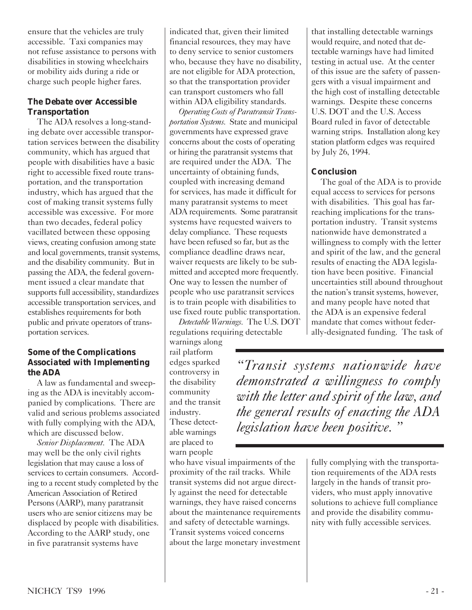ensure that the vehicles are truly accessible. Taxi companies may not refuse assistance to persons with disabilities in stowing wheelchairs or mobility aids during a ride or charge such people higher fares.

### *The Debate over Accessible Transportation*

The ADA resolves a long-standing debate over accessible transportation services between the disability community, which has argued that people with disabilities have a basic right to accessible fixed route transportation, and the transportation industry, which has argued that the cost of making transit systems fully accessible was excessive. For more than two decades, federal policy vacillated between these opposing views, creating confusion among state and local governments, transit systems, and the disability community. But in passing the ADA, the federal government issued a clear mandate that supports full accessibility, standardizes accessible transportation services, and establishes requirements for both public and private operators of transportation services.

### *Some of the Complications Associated with Implementing the ADA*

A law as fundamental and sweeping as the ADA is inevitably accompanied by complications. There are valid and serious problems associated with fully complying with the ADA, which are discussed below.

*Senior Displacement.* The ADA may well be the only civil rights legislation that may cause a loss of services to certain consumers. According to a recent study completed by the American Association of Retired Persons (AARP), many paratransit users who are senior citizens may be displaced by people with disabilities. According to the AARP study, one in five paratransit systems have

indicated that, given their limited financial resources, they may have to deny service to senior customers who, because they have no disability, are not eligible for ADA protection, so that the transportation provider can transport customers who fall within ADA eligibility standards.

*Operating Costs of Paratransit Transportation Systems.* State and municipal governments have expressed grave concerns about the costs of operating or hiring the paratransit systems that are required under the ADA. The uncertainty of obtaining funds, coupled with increasing demand for services, has made it difficult for many paratransit systems to meet ADA requirements. Some paratransit systems have requested waivers to delay compliance. These requests have been refused so far, but as the compliance deadline draws near, waiver requests are likely to be submitted and accepted more frequently. One way to lessen the number of people who use paratransit services is to train people with disabilities to use fixed route public transportation.

*Detectable Warnings.* The U.S. DOT regulations requiring detectable

warnings along rail platform edges sparked controversy in the disability community and the transit industry. These detectable warnings are placed to warn people

who have visual impairments of the proximity of the rail tracks. While transit systems did not argue directly against the need for detectable warnings, they have raised concerns about the maintenance requirements and safety of detectable warnings. Transit systems voiced concerns about the large monetary investment that installing detectable warnings would require, and noted that detectable warnings have had limited testing in actual use. At the center of this issue are the safety of passengers with a visual impairment and the high cost of installing detectable warnings. Despite these concerns U.S. DOT and the U.S. Access Board ruled in favor of detectable warning strips. Installation along key station platform edges was required by July 26, 1994.

### *Conclusion*

The goal of the ADA is to provide equal access to services for persons with disabilities. This goal has farreaching implications for the transportation industry. Transit systems nationwide have demonstrated a willingness to comply with the letter and spirit of the law, and the general results of enacting the ADA legislation have been positive. Financial uncertainties still abound throughout the nation's transit systems, however, and many people have noted that the ADA is an expensive federal mandate that comes without federally-designated funding. The task of

*"Transit systems nationwide have demonstrated a willingness to comply with the letter and spirit of the law, and the general results of enacting the ADA legislation have been positive. "*

> fully complying with the transportation requirements of the ADA rests largely in the hands of transit providers, who must apply innovative solutions to achieve full compliance and provide the disability community with fully accessible services.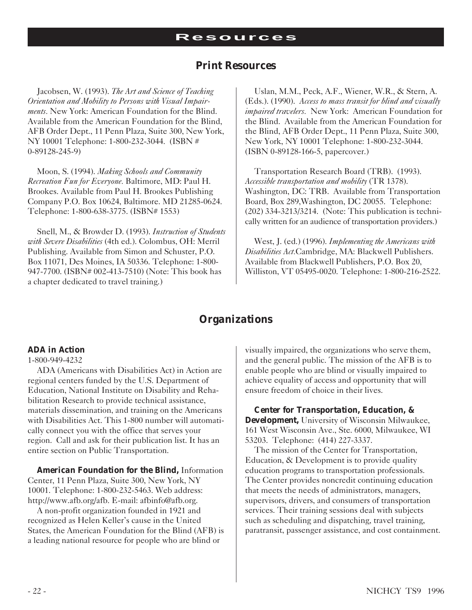### *Print Resources*

Jacobsen, W. (1993). *The Art and Science of Teaching Orientation and Mobility to Persons with Visual Impairments.* New York: American Foundation for the Blind. Available from the American Foundation for the Blind, AFB Order Dept., 11 Penn Plaza, Suite 300, New York, NY 10001 Telephone: 1-800-232-3044. (ISBN # 0-89128-245-9)

Moon, S. (1994). *Making Schools and Community Recreation Fun for Everyone.* Baltimore, MD: Paul H. Brookes. Available from Paul H. Brookes Publishing Company P.O. Box 10624, Baltimore. MD 21285-0624. Telephone: 1-800-638-3775. (ISBN# 1553)

Snell, M., & Browder D. (1993). *Instruction of Students with Severe Disabilities* (4th ed.). Colombus, OH: Merril Publishing. Available from Simon and Schuster, P.O. Box 11071, Des Moines, IA 50336. Telephone: 1-800- 947-7700. (ISBN# 002-413-7510) (Note: This book has a chapter dedicated to travel training.)

Uslan, M.M., Peck, A.F., Wiener, W.R., & Stern, A. (Eds.). (1990). *Access to mass transit for blind and visually impaired travelers.* New York: American Foundation for the Blind. Available from the American Foundation for the Blind, AFB Order Dept., 11 Penn Plaza, Suite 300, New York, NY 10001 Telephone: 1-800-232-3044. (ISBN 0-89128-166-5, papercover.)

Transportation Research Board (TRB). (1993). *Accessible transportation and mobility* (TR 1378). Washington, DC: TRB. Available from Transportation Board, Box 289,Washington, DC 20055. Telephone: (202) 334-3213/3214. (Note: This publication is technically written for an audience of transportation providers.)

West, J. (ed.) (1996). *Implementing the Americans with Disabilities Act.*Cambridge, MA: Blackwell Publishers. Available from Blackwell Publishers, P.O. Box 20, Williston, VT 05495-0020. Telephone: 1-800-216-2522.

### *Organizations*

#### *ADA in Action*

ADA (Americans with Disabilities Act) in Action are regional centers funded by the U.S. Department of Education, National Institute on Disability and Rehabilitation Research to provide technical assistance, materials dissemination, and training on the Americans with Disabilities Act. This 1-800 number will automatically connect you with the office that serves your region. Call and ask for their publication list. It has an entire section on Public Transportation.

*American Foundation for the Blind,* Information Center, 11 Penn Plaza, Suite 300, New York, NY 10001. Telephone: 1-800-232-5463. Web address: http://www.afb.org/afb. E-mail: afbinfo@afb.org.

A non-profit organization founded in 1921 and recognized as Helen Keller's cause in the United States, the American Foundation for the Blind (AFB) is a leading national resource for people who are blind or

visually impaired, the organizations who serve them, and the general public. The mission of the AFB is to enable people who are blind or visually impaired to achieve equality of access and opportunity that will ensure freedom of choice in their lives.

*Center for Transportation, Education, & Development,* University of Wisconsin Milwaukee, 161 West Wisconsin Ave., Ste. 6000, Milwaukee, WI 53203. Telephone: (414) 227-3337.

The mission of the Center for Transportation, Education, & Development is to provide quality education programs to transportation professionals. The Center provides noncredit continuing education that meets the needs of administrators, managers, supervisors, drivers, and consumers of transportation services. Their training sessions deal with subjects such as scheduling and dispatching, travel training, paratransit, passenger assistance, and cost containment.

<sup>1-800-949-4232</sup>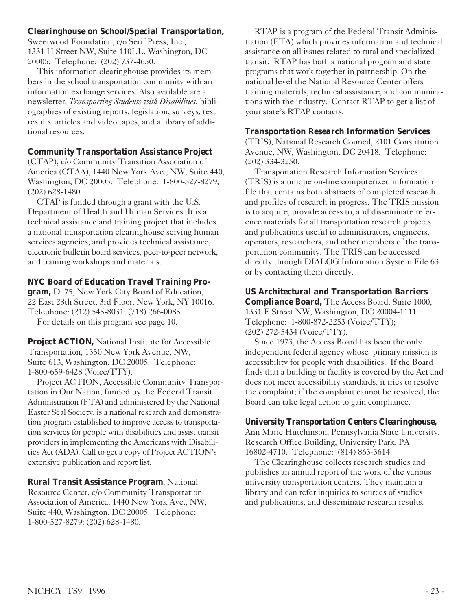### *Clearinghouse on School/Special Transportation,*

Sweetwood Foundation, c/o Serif Press, Inc., 1331 H Street NW, Suite 110LL, Washington, DC 20005. Telephone: (202) 737-4650.

This information clearinghouse provides its members in the school transportation community with an information exchange services. Also available are a newsletter, *Transporting Students with Disabilities*, bibliographies of existing reports, legislation, surveys, test results, articles and video tapes, and a library of additional resources.

### *Community Transportation Assistance Project*

(CTAP), c/o Community Transition Association of America (CTAA), 1440 New York Ave., NW, Suite 440, Washington, DC 20005. Telephone: 1-800-527-8279; (202) 628-1480.

CTAP is funded through a grant with the U.S. Department of Health and Human Services. It is a technical assistance and training project that includes a national transportation clearinghouse serving human services agencies, and provides technical assistance, electronic bulletin board services, peer-to-peer network, and training workshops and materials.

### *NYC Board of Education Travel Training Pro-*

*gram,* D. 75, New York City Board of Education, 22 East 28th Street, 3rd Floor, New York, NY 10016. Telephone: (212) 545-8031; (718) 266-0085.

For details on this program see page 10.

**Project ACTION,** National Institute for Accessible Transportation, 1350 New York Avenue, NW, Suite 613, Washington, DC 20005. Telephone: 1-800-659-6428 (Voice/TTY).

Project ACTION, Accessible Community Transportation in Our Nation, funded by the Federal Transit Administration (FTA) and administered by the National Easter Seal Society, is a national research and demonstration program established to improve access to transportation services for people with disabilities and assist transit providers in implementing the Americans with Disabilities Act (ADA). Call to get a copy of Project ACTION's extensive publication and report list.

*Rural Transit Assistance Program*, National Resource Center, c/o Community Transportation Association of America, 1440 New York Ave., NW, Suite 440, Washington, DC 20005. Telephone: 1-800-527-8279; (202) 628-1480.

RTAP is a program of the Federal Transit Administration (FTA) which provides information and technical assistance on all issues related to rural and specialized transit. RTAP has both a national program and state programs that work together in partnership. On the national level the National Resource Center offers training materials, technical assistance, and communications with the industry. Contact RTAP to get a list of your state's RTAP contacts.

### *Transportation Research Information Services*

(TRIS), National Research Council, 2101 Constitution Avenue, NW, Washington, DC 20418. Telephone: (202) 334-3250.

Transportation Research Information Services (TRIS) is a unique on-line computerized information file that contains both abstracts of completed research and profiles of research in progress. The TRIS mission is to acquire, provide access to, and disseminate reference materials for all transportation research projects and publications useful to administrators, engineers, operators, researchers, and other members of the transportation community. The TRIS can be accessed directly through DIALOG Information System File 63 or by contacting them directly.

### *US Architectural and Transportation Barriers*

*Compliance Board,* The Access Board, Suite 1000, 1331 F Street NW, Washington, DC 20004-1111. Telephone: 1-800-872-2253 (Voice/TTY); (202) 272-5434 (Voice/TTY).

Since 1973, the Access Board has been the only independent federal agency whose primary mission is accessibility for people with disabilities. If the Board finds that a building or facility is covered by the Act and does not meet accessibility standards, it tries to resolve the complaint; if the complaint cannot be resolved, the Board can take legal action to gain compliance.

### *University Transportation Centers Clearinghouse,*

Ann Marie Hutchinson, Pennsylvania State University, Research Office Building, University Park, PA 16802-4710. Telephone: (814) 863-3614.

The Clearinghouse collects research studies and publishes an annual report of the work of the various university transportation centers. They maintain a library and can refer inquiries to sources of studies and publications, and disseminate research results.